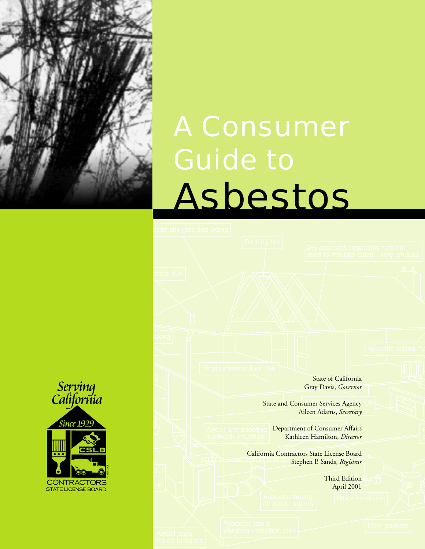

# A Consumer Guide to Asbestos

State of California Gray Davis, *Governor*

State and Consumer Services Agency Aileen Adams, *Secretary*

Department of Consumer Affairs Kathleen Hamilton, *Director*

California Contractors State License Board Stephen P. Sands, *Registrar*

> Third Edition April 2001

Serving<br>California **Since 1929 CONTRACTORS STATE LICENSE BOARD**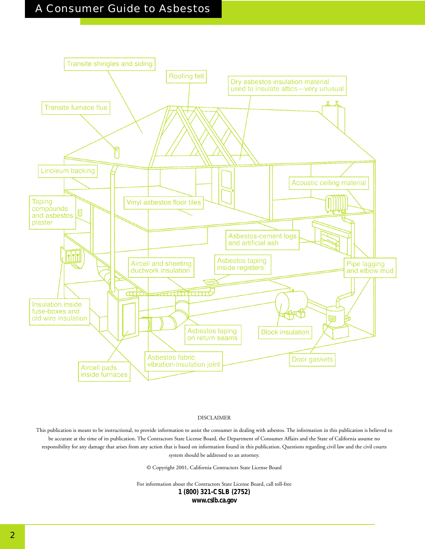### A Consumer Guide to Asbestos



#### DISCLAIMER

This publication is meant to be instructional, to provide information to assist the consumer in dealing with asbestos. The information in this publication is believed to be accurate at the time of its publication. The Contractors State License Board, the Department of Consumer Affairs and the State of California assume no responsibility for any damage that arises from any action that is based on information found in this publication. Questions regarding civil law and the civil courts system should be addressed to an attorney.

© Copyright 2001, California Contractors State License Board

For information about the Contractors State License Board, call toll-free

**1 (800) 321-CSLB (2752)**

**www.cslb.ca.gov**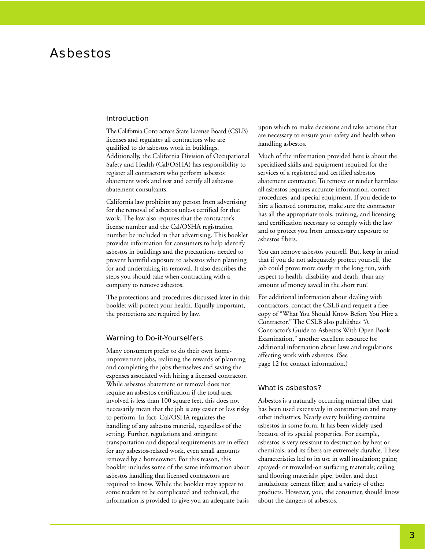### Asbestos

### Introduction

The California Contractors State License Board (CSLB) licenses and regulates all contractors who are qualified to do asbestos work in buildings. Additionally, the California Division of Occupational Safety and Health (Cal/OSHA) has responsibility to register all contractors who perform asbestos abatement work and test and certify all asbestos abatement consultants.

California law prohibits any person from advertising for the removal of asbestos unless certified for that work. The law also requires that the contractor's license number and the Cal/OSHA registration number be included in that advertising. This booklet provides information for consumers to help identify asbestos in buildings and the precautions needed to prevent harmful exposure to asbestos when planning for and undertaking its removal. It also describes the steps you should take when contracting with a company to remove asbestos.

The protections and procedures discussed later in this booklet will protect your health. Equally important, the protections are required by law.

#### Warning to Do-it-Yourselfers

Many consumers prefer to do their own homeimprovement jobs, realizing the rewards of planning and completing the jobs themselves and saving the expenses associated with hiring a licensed contractor. While asbestos abatement or removal does not require an asbestos certification if the total area involved is less than 100 square feet, this does not necessarily mean that the job is any easier or less risky to perform. In fact, Cal/OSHA regulates the handling of any asbestos material, regardless of the setting. Further, regulations and stringent transportation and disposal requirements are in effect for any asbestos-related work, even small amounts removed by a homeowner. For this reason, this booklet includes some of the same information about asbestos handling that licensed contractors are required to know. While the booklet may appear to some readers to be complicated and technical, the information is provided to give you an adequate basis

upon which to make decisions and take actions that are necessary to ensure your safety and health when handling asbestos.

Much of the information provided here is about the specialized skills and equipment required for the services of a registered and certified asbestos abatement contractor. To remove or render harmless all asbestos requires accurate information, correct procedures, and special equipment. If you decide to hire a licensed contractor, make sure the contractor has all the appropriate tools, training, and licensing and certification necessary to comply with the law and to protect you from unnecessary exposure to asbestos fibers.

You can remove asbestos yourself. But, keep in mind that if you do not adequately protect yourself, the job could prove more costly in the long run, with respect to health, disability and death, than any amount of money saved in the short run!

For additional information about dealing with contractors, contact the CSLB and request a free copy of "What You Should Know Before You Hire a Contractor." The CSLB also publishes "A Contractor's Guide to Asbestos With Open Book Examination," another excellent resource for additional information about laws and regulations affecting work with asbestos. (See page 12 for contact information.)

### What is asbestos?

Asbestos is a naturally occurring mineral fiber that has been used extensively in construction and many other industries. Nearly every building contains asbestos in some form. It has been widely used because of its special properties. For example, asbestos is very resistant to destruction by heat or chemicals, and its fibers are extremely durable. These characteristics led to its use in wall insulation; paint; sprayed- or troweled-on surfacing materials; ceiling and flooring materials; pipe, boiler, and duct insulations; cement filler; and a variety of other products. However, you, the consumer, should know about the dangers of asbestos.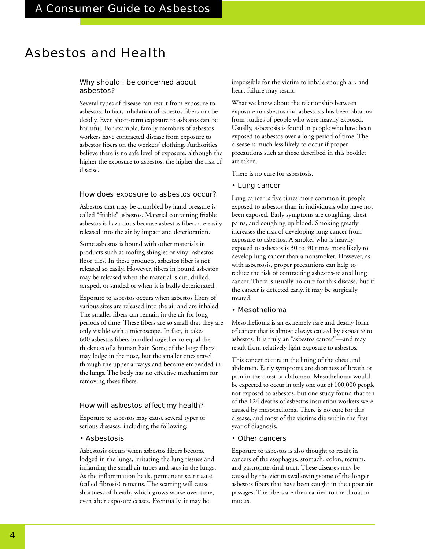### Asbestos and Health

### Why should I be concerned about asbestos?

Several types of disease can result from exposure to asbestos. In fact, inhalation of asbestos fibers can be deadly. Even short-term exposure to asbestos can be harmful. For example, family members of asbestos workers have contracted disease from exposure to asbestos fibers on the workers' clothing. Authorities believe there is no safe level of exposure, although the higher the exposure to asbestos, the higher the risk of disease.

### How does exposure to asbestos occur?

Asbestos that may be crumbled by hand pressure is called "friable" asbestos. Material containing friable asbestos is hazardous because asbestos fibers are easily released into the air by impact and deterioration.

Some asbestos is bound with other materials in products such as roofing shingles or vinyl-asbestos floor tiles. In these products, asbestos fiber is not released so easily. However, fibers in bound asbestos may be released when the material is cut, drilled, scraped, or sanded or when it is badly deteriorated.

Exposure to asbestos occurs when asbestos fibers of various sizes are released into the air and are inhaled. The smaller fibers can remain in the air for long periods of time. These fibers are so small that they are only visible with a microscope. In fact, it takes 600 asbestos fibers bundled together to equal the thickness of a human hair. Some of the large fibers may lodge in the nose, but the smaller ones travel through the upper airways and become embedded in the lungs. The body has no effective mechanism for removing these fibers.

### How will asbestos affect my health?

Exposure to asbestos may cause several types of serious diseases, including the following:

### • Asbestosis

Asbestosis occurs when asbestos fibers become lodged in the lungs, irritating the lung tissues and inflaming the small air tubes and sacs in the lungs. As the inflammation heals, permanent scar tissue (called fibrosis) remains. The scarring will cause shortness of breath, which grows worse over time, even after exposure ceases. Eventually, it may be

impossible for the victim to inhale enough air, and heart failure may result.

What we know about the relationship between exposure to asbestos and asbestosis has been obtained from studies of people who were heavily exposed. Usually, asbestosis is found in people who have been exposed to asbestos over a long period of time. The disease is much less likely to occur if proper precautions such as those described in this booklet are taken.

There is no cure for asbestosis.

### • Lung cancer

Lung cancer is five times more common in people exposed to asbestos than in individuals who have not been exposed. Early symptoms are coughing, chest pains, and coughing up blood. Smoking greatly increases the risk of developing lung cancer from exposure to asbestos. A smoker who is heavily exposed to asbestos is 30 to 90 times more likely to develop lung cancer than a nonsmoker. However, as with asbestosis, proper precautions can help to reduce the risk of contracting asbestos-related lung cancer. There is usually no cure for this disease, but if the cancer is detected early, it may be surgically treated.

### • Mesothelioma

Mesothelioma is an extremely rare and deadly form of cancer that is almost always caused by exposure to asbestos. It is truly an "asbestos cancer"—and may result from relatively light exposure to asbestos.

This cancer occurs in the lining of the chest and abdomen. Early symptoms are shortness of breath or pain in the chest or abdomen. Mesothelioma would be expected to occur in only one out of 100,000 people not exposed to asbestos, but one study found that ten of the 124 deaths of asbestos insulation workers were caused by mesothelioma. There is no cure for this disease, and most of the victims die within the first year of diagnosis.

### • Other cancers

Exposure to asbestos is also thought to result in cancers of the esophagus, stomach, colon, rectum, and gastrointestinal tract. These diseases may be caused by the victim swallowing some of the longer asbestos fibers that have been caught in the upper air passages. The fibers are then carried to the throat in mucus.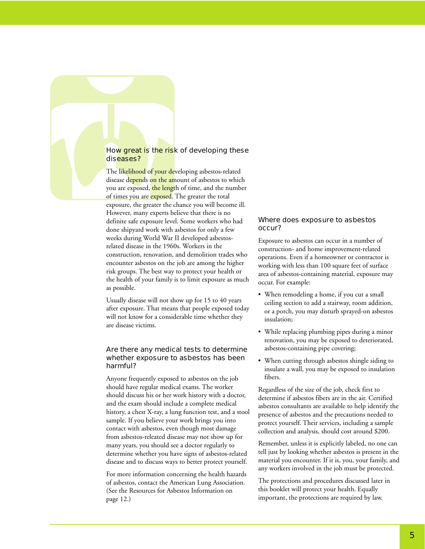### How great is the risk of developing these diseases?

The likelihood of your developing asbestos-related disease depends on the amount of asbestos to which you are exposed, the length of time, and the number of times you are exposed. The greater the total exposure, the greater the chance you will become ill. However, many experts believe that there is no definite safe exposure level. Some workers who had done shipyard work with asbestos for only a few weeks during World War II developed asbestosrelated disease in the 1960s. Workers in the construction, renovation, and demolition trades who encounter asbestos on the job are among the higher risk groups. The best way to protect your health or the health of your family is to limit exposure as much as possible.

Usually disease will not show up for 15 to 40 years after exposure. That means that people exposed today will not know for a considerable time whether they are disease victims.

### Are there any medical tests to determine whether exposure to asbestos has been harmful?

Anyone frequently exposed to asbestos on the job should have regular medical exams. The worker should discuss his or her work history with a doctor, and the exam should include a complete medical history, a chest X-ray, a lung function test, and a stool sample. If you believe your work brings you into contact with asbestos, even though most damage from asbestos-releated disease may not show up for many years, you should see a doctor regularly to determine whether you have signs of asbestos-related disease and to discuss ways to better protect yourself.

For more information concerning the health hazards of asbestos, contact the American Lung Association. (See the Resources for Asbestos Information on page 12.)

### Where does exposure to asbestos occur?

Exposure to asbestos can occur in a number of construction- and home improvement-related operations. Even if a homeowner or contractor is working with less than 100 square feet of surface area of asbestos-containing material, exposure may occur. For example:

- When remodeling a home, if you cut a small ceiling section to add a stairway, room addition, or a porch, you may disturb sprayed-on asbestos insulation;
- While replacing plumbing pipes during a minor renovation, you may be exposed to deteriorated, asbestos-containing pipe covering;
- When cutting through asbestos shingle siding to insulate a wall, you may be exposed to insulation fibers.

Regardless of the size of the job, check first to determine if asbestos fibers are in the air. Certified asbestos consultants are available to help identify the presence of asbestos and the precautions needed to protect yourself. Their services, including a sample collection and analysis, should cost around \$200.

Remember, unless it is explicitly labeled, no one can tell just by looking whether asbestos is present in the material you encounter. If it is, you, your family, and any workers involved in the job must be protected.

The protections and procedures discussed later in this booklet will protect your health. Equally important, the protections are required by law.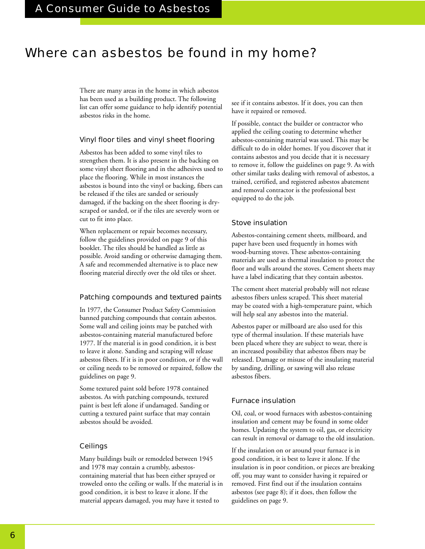### Where can asbestos be found in my home?

There are many areas in the home in which asbestos has been used as a building product. The following list can offer some guidance to help identify potential asbestos risks in the home.

### Vinyl floor tiles and vinyl sheet flooring

Asbestos has been added to some vinyl tiles to strengthen them. It is also present in the backing on some vinyl sheet flooring and in the adhesives used to place the flooring. While in most instances the asbestos is bound into the vinyl or backing, fibers can be released if the tiles are sanded or seriously damaged, if the backing on the sheet flooring is dryscraped or sanded, or if the tiles are severely worn or cut to fit into place.

When replacement or repair becomes necessary, follow the guidelines provided on page 9 of this booklet. The tiles should be handled as little as possible. Avoid sanding or otherwise damaging them. A safe and recommended alternative is to place new flooring material directly over the old tiles or sheet.

### Patching compounds and textured paints

In 1977, the Consumer Product Safety Commission banned patching compounds that contain asbestos. Some wall and ceiling joints may be patched with asbestos-containing material manufactured before 1977. If the material is in good condition, it is best to leave it alone. Sanding and scraping will release asbestos fibers. If it is in poor condition, or if the wall or ceiling needs to be removed or repaired, follow the guidelines on page 9.

Some textured paint sold before 1978 contained asbestos. As with patching compounds, textured paint is best left alone if undamaged. Sanding or cutting a textured paint surface that may contain asbestos should be avoided.

### Ceilings

Many buildings built or remodeled between 1945 and 1978 may contain a crumbly, asbestoscontaining material that has been either sprayed or troweled onto the ceiling or walls. If the material is in good condition, it is best to leave it alone. If the material appears damaged, you may have it tested to

see if it contains asbestos. If it does, you can then have it repaired or removed.

If possible, contact the builder or contractor who applied the ceiling coating to determine whether asbestos-containing material was used. This may be difficult to do in older homes. If you discover that it contains asbestos and you decide that it is necessary to remove it, follow the guidelines on page 9. As with other similar tasks dealing with removal of asbestos, a trained, certified, and registered asbestos abatement and removal contractor is the professional best equipped to do the job.

### Stove insulation

Asbestos-containing cement sheets, millboard, and paper have been used frequently in homes with wood-burning stoves. These asbestos-containing materials are used as thermal insulation to protect the floor and walls around the stoves. Cement sheets may have a label indicating that they contain asbestos.

The cement sheet material probably will not release asbestos fibers unless scraped. This sheet material may be coated with a high-temperature paint, which will help seal any asbestos into the material.

Asbestos paper or millboard are also used for this type of thermal insulation. If these materials have been placed where they are subject to wear, there is an increased possibility that asbestos fibers may be released. Damage or misuse of the insulating material by sanding, drilling, or sawing will also release asbestos fibers.

### Furnace insulation

Oil, coal, or wood furnaces with asbestos-containing insulation and cement may be found in some older homes. Updating the system to oil, gas, or electricity can result in removal or damage to the old insulation.

If the insulation on or around your furnace is in good condition, it is best to leave it alone. If the insulation is in poor condition, or pieces are breaking off, you may want to consider having it repaired or removed. First find out if the insulation contains asbestos (see page 8); if it does, then follow the guidelines on page 9.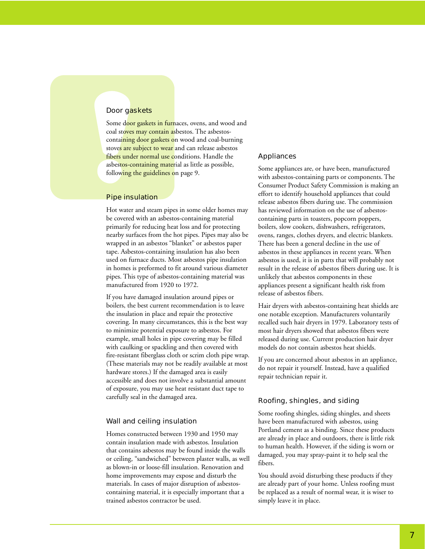### Door gaskets

Some door gaskets in furnaces, ovens, and wood and coal stoves may contain asbestos. The asbestoscontaining door gaskets on wood and coal-burning stoves are subject to wear and can release asbestos fibers under normal use conditions. Handle the asbestos-containing material as little as possible, following the guidelines on page 9.

### Pipe insulation

Hot water and steam pipes in some older homes may be covered with an asbestos-containing material primarily for reducing heat loss and for protecting nearby surfaces from the hot pipes. Pipes may also be wrapped in an asbestos "blanket" or asbestos paper tape. Asbestos-containing insulation has also been used on furnace ducts. Most asbestos pipe insulation in homes is preformed to fit around various diameter pipes. This type of asbestos-containing material was manufactured from 1920 to 1972.

If you have damaged insulation around pipes or boilers, the best current recommendation is to leave the insulation in place and repair the protective covering. In many circumstances, this is the best way to minimize potential exposure to asbestos. For example, small holes in pipe covering may be filled with caulking or spackling and then covered with fire-resistant fiberglass cloth or scrim cloth pipe wrap. (These materials may not be readily available at most hardware stores.) If the damaged area is easily accessible and does not involve a substantial amount of exposure, you may use heat resistant duct tape to carefully seal in the damaged area.

### Wall and ceiling insulation

Homes constructed between 1930 and 1950 may contain insulation made with asbestos. Insulation that contains asbestos may be found inside the walls or ceiling, "sandwiched" between plaster walls, as well as blown-in or loose-fill insulation. Renovation and home improvements may expose and disturb the materials. In cases of major disruption of asbestoscontaining material, it is especially important that a trained asbestos contractor be used.

### Appliances

Some appliances are, or have been, manufactured with asbestos-containing parts or components. The Consumer Product Safety Commission is making an effort to identify household appliances that could release asbestos fibers during use. The commission has reviewed information on the use of asbestoscontaining parts in toasters, popcorn poppers, boilers, slow cookers, dishwashers, refrigerators, ovens, ranges, clothes dryers, and electric blankets. There has been a general decline in the use of asbestos in these appliances in recent years. When asbestos is used, it is in parts that will probably not result in the release of asbestos fibers during use. It is unlikely that asbestos components in these appliances present a significant health risk from release of asbestos fibers.

Hair dryers with asbestos-containing heat shields are one notable exception. Manufacturers voluntarily recalled such hair dryers in 1979. Laboratory tests of most hair dryers showed that asbestos fibers were released during use. Current production hair dryer models do not contain asbestos heat shields.

If you are concerned about asbestos in an appliance, do not repair it yourself. Instead, have a qualified repair technician repair it.

### Roofing, shingles, and siding

Some roofing shingles, siding shingles, and sheets have been manufactured with asbestos, using Portland cement as a binding. Since these products are already in place and outdoors, there is little risk to human health. However, if the siding is worn or damaged, you may spray-paint it to help seal the fibers.

You should avoid disturbing these products if they are already part of your home. Unless roofing must be replaced as a result of normal wear, it is wiser to simply leave it in place.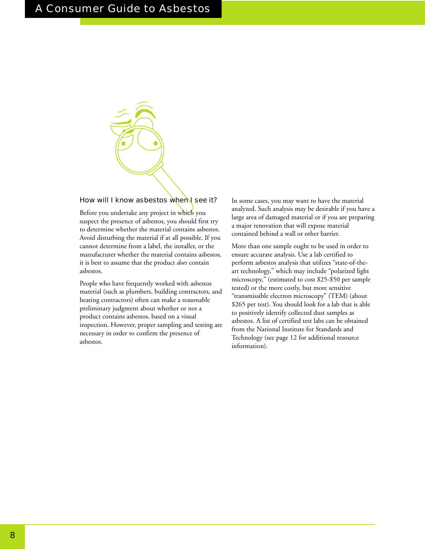

### How will I know asbestos when I see it?

Before you undertake any project in which you suspect the presence of asbestos, you should first try to determine whether the material contains asbestos. Avoid disturbing the material if at all possible. If you cannot determine from a label, the installer, or the manufacturer whether the material contains asbestos, it is best to assume that the product *does* contain asbestos.

People who have frequently worked with asbestos material (such as plumbers, building contractors, and heating contractors) often can make a reasonable preliminary judgment about whether or not a product contains asbestos, based on a visual inspection. However, proper sampling and testing are necessary in order to confirm the presence of asbestos.

In some cases, you may want to have the material analyzed. Such analysis may be desirable if you have a large area of damaged material or if you are preparing a major renovation that will expose material contained behind a wall or other barrier.

More than one sample ought to be used in order to ensure accurate analysis. Use a lab certified to perform asbestos analysis that utilizes "state-of-theart technology," which may include "polarized light microscopy," (estimated to cost \$25-\$50 per sample tested) or the more costly, but more sensitive "transmissible electron microscopy" (TEM) (about \$265 per test). You should look for a lab that is able to positively identify collected dust samples as asbestos. A list of certified test labs can be obtained from the National Institute for Standards and Technology (see page 12 for additional resource information).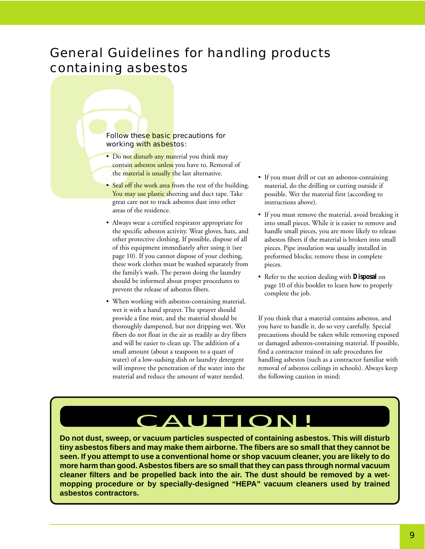### General Guidelines for handling products containing asbestos

### Follow these basic precautions for working with asbestos:

- Do not disturb any material you think may contain asbestos unless you have to. Removal of the material is usually the last alternative.
- Seal off the work area from the rest of the building. You may use plastic sheeting and duct tape. Take great care not to track asbestos dust into other areas of the residence.
- Always wear a certified respirator appropriate for the specific asbestos activity. Wear gloves, hats, and other protective clothing. If possible, dispose of all of this equipment immediately after using it (see page 10). If you cannot dispose of your clothing, these work clothes must be washed separately from the family's wash. The person doing the laundry should be informed about proper procedures to prevent the release of asbestos fibers.
- When working with asbestos-containing material, wet it with a hand sprayer. The sprayer should provide a fine mist, and the material should be thoroughly dampened, but not dripping wet. Wet fibers do not float in the air as readily as dry fibers and will be easier to clean up. The addition of a small amount (about a teaspoon to a quart of water) of a low-sudsing dish or laundry detergent will improve the penetration of the water into the material and reduce the amount of water needed.
- If you must drill or cut an asbestos-containing material, do the drilling or cutting outside if possible. Wet the material first (according to instructions above).
- If you must remove the material, avoid breaking it into small pieces. While it is easier to remove and handle small pieces, you are more likely to release asbestos fibers if the material is broken into small pieces. Pipe insulation was usually installed in preformed blocks; remove these in complete pieces.
- Refer to the section dealing with **Disposal** on page 10 of this booklet to learn how to properly complete the job.

If you think that a material contains asbestos, and you have to handle it, do so very carefully. Special precautions should be taken while removing exposed or damaged asbestos-containing material. If possible, find a contractor trained in safe procedures for handling asbestos (such as a contractor familiar with removal of asbestos ceilings in schools). Always keep the following caution in mind:

## CAUTION!

**Do not dust, sweep, or vacuum particles suspected of containing asbestos. This will disturb tiny asbestos fibers and may make them airborne. The fibers are so small that they cannot be seen. If you attempt to use a conventional home or shop vacuum cleaner, you are likely to do more harm than good. Asbestos fibers are so small that they can pass through normal vacuum cleaner filters and be propelled back into the air. The dust should be removed by a wetmopping procedure or by specially-designed "HEPA" vacuum cleaners used by trained asbestos contractors.**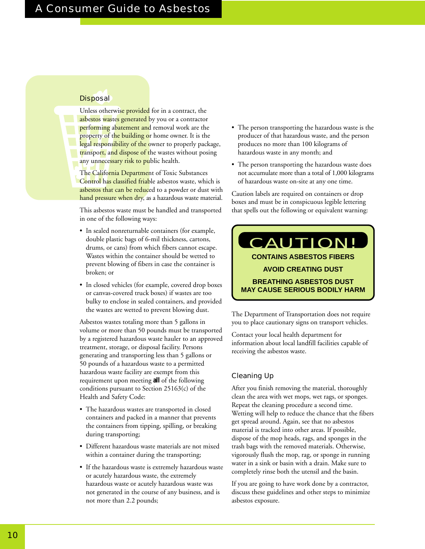### A Consumer Guide to Asbestos

### **Disposal**

Unless otherwise provided for in a contract, the asbestos wastes generated by you or a contractor performing abatement and removal work are the property of the building or home owner. It is the legal responsibility of the owner to properly package, transport, and dispose of the wastes without posing any unnecessary risk to public health.

The California Department of Toxic Substances Control has classified friable asbestos waste, which is asbestos that can be reduced to a powder or dust with hand pressure when dry, as a hazardous waste material.

This asbestos waste must be handled and transported in one of the following ways:

- In sealed nonreturnable containers (for example, double plastic bags of 6-mil thickness, cartons, drums, or cans) from which fibers cannot escape. Wastes within the container should be wetted to prevent blowing of fibers in case the container is broken; or
- In closed vehicles (for example, covered drop boxes or canvas-covered truck boxes) if wastes are too bulky to enclose in sealed containers, and provided the wastes are wetted to prevent blowing dust.

Asbestos wastes totaling more than 5 gallons in volume or more than 50 pounds must be transported by a registered hazardous waste hauler to an approved treatment, storage, or disposal facility. Persons generating and transporting less than 5 gallons or 50 pounds of a hazardous waste to a permitted hazardous waste facility are exempt from this requirement upon meeting **all** of the following conditions pursuant to Section 25163(c) of the Health and Safety Code:

- The hazardous wastes are transported in closed containers and packed in a manner that prevents the containers from tipping, spilling, or breaking during transporting;
- Different hazardous waste materials are not mixed within a container during the transporting;
- If the hazardous waste is extremely hazardous waste or acutely hazardous waste, the extremely hazardous waste or acutely hazardous waste was not generated in the course of any business, and is not more than 2.2 pounds;
- The person transporting the hazardous waste is the producer of that hazardous waste, and the person produces no more than 100 kilograms of hazardous waste in any month; and
- The person transporting the hazardous waste does not accumulate more than a total of 1,000 kilograms of hazardous waste on-site at any one time.

Caution labels are required on containers or drop boxes and must be in conspicuous legible lettering that spells out the following or equivalent warning:

### **CONTAINS ASBESTOS FIBERS AVOID CREATING DUST BREATHING ASBESTOS DUST MAY CAUSE SERIOUS BODILY HARM** CAUTION!

The Department of Transportation does not require you to place cautionary signs on transport vehicles.

Contact your local health department for information about local landfill facilities capable of receiving the asbestos waste.

### Cleaning Up

After you finish removing the material, thoroughly clean the area with wet mops, wet rags, or sponges. Repeat the cleaning procedure a second time. Wetting will help to reduce the chance that the fibers get spread around. Again, see that no asbestos material is tracked into other areas. If possible, dispose of the mop heads, rags, and sponges in the trash bags with the removed materials. Otherwise, vigorously flush the mop, rag, or sponge in running water in a sink or basin with a drain. Make sure to completely rinse both the utensil and the basin.

If you are going to have work done by a contractor, discuss these guidelines and other steps to minimize asbestos exposure.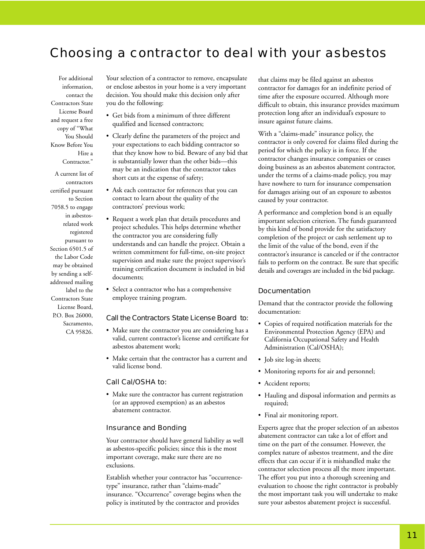### Choosing a contractor to deal with your asbestos

For additional information, contact the Contractors State License Board and request a free copy of "What You Should Know Before You Hire a Contractor."

A current list of contractors certified pursuant to Section 7058.5 to engage in asbestosrelated work registered pursuant to Section 6501.5 of the Labor Code may be obtained by sending a selfaddressed mailing label to the Contractors State License Board, P.O. Box 26000, Sacramento, CA 95826.

Your selection of a contractor to remove, encapsulate or enclose asbestos in your home is a very important decision. You should make this decision only after you do the following:

- Get bids from a minimum of three different qualified and licensed contractors;
- Clearly define the parameters of the project and your expectations to each bidding contractor so that they know how to bid. Beware of any bid that is substantially lower than the other bids—this may be an indication that the contractor takes short cuts at the expense of safety;
- Ask each contractor for references that you can contact to learn about the quality of the contractors' previous work;
- Request a work plan that details procedures and project schedules. This helps determine whether the contractor you are considering fully understands and can handle the project. Obtain a written commitment for full-time, on-site project supervision and make sure the project supervisor's training certification document is included in bid documents;
- Select a contractor who has a comprehensive employee training program.

### Call the Contractors State License Board to:

- Make sure the contractor you are considering has a valid, current contractor's license and certificate for asbestos abatement work;
- Make certain that the contractor has a current and valid license bond.

### Call Cal/OSHA to:

• Make sure the contractor has current registration (or an approved exemption) as an asbestos abatement contractor.

### Insurance and Bonding

Your contractor should have general liability as well as asbestos-specific policies; since this is the most important coverage, make sure there are no exclusions.

Establish whether your contractor has "occurrencetype" insurance, rather than "claims-made" insurance. "Occurrence" coverage begins when the policy is instituted by the contractor and provides

that claims may be filed against an asbestos contractor for damages for an indefinite period of time after the exposure occurred. Although more difficult to obtain, this insurance provides maximum protection long after an individual's exposure to insure against future claims.

With a "claims-made" insurance policy, the contractor is only covered for claims filed during the period for which the policy is in force. If the contractor changes insurance companies or ceases doing business as an asbestos abatement contractor, under the terms of a claims-made policy, you may have nowhere to turn for insurance compensation for damages arising out of an exposure to asbestos caused by your contractor.

A performance and completion bond is an equally important selection criterion. The funds guaranteed by this kind of bond provide for the satisfactory completion of the project or cash settlement up to the limit of the value of the bond, even if the contractor's insurance is canceled or if the contractor fails to perform on the contract. Be sure that specific details and coverages are included in the bid package.

### Documentation

Demand that the contractor provide the following documentation:

- Copies of required notification materials for the Environmental Protection Agency (EPA) and California Occupational Safety and Health Administration (Cal/OSHA);
- Job site log-in sheets;
- Monitoring reports for air and personnel;
- Accident reports;
- Hauling and disposal information and permits as required;
- Final air monitoring report.

Experts agree that the proper selection of an asbestos abatement contractor can take a lot of effort and time on the part of the consumer. However, the complex nature of asbestos treatment, and the dire effects that can occur if it is mishandled make the contractor selection process all the more important. The effort you put into a thorough screening and evaluation to choose the right contractor is probably the most important task you will undertake to make sure your asbestos abatement project is successful.